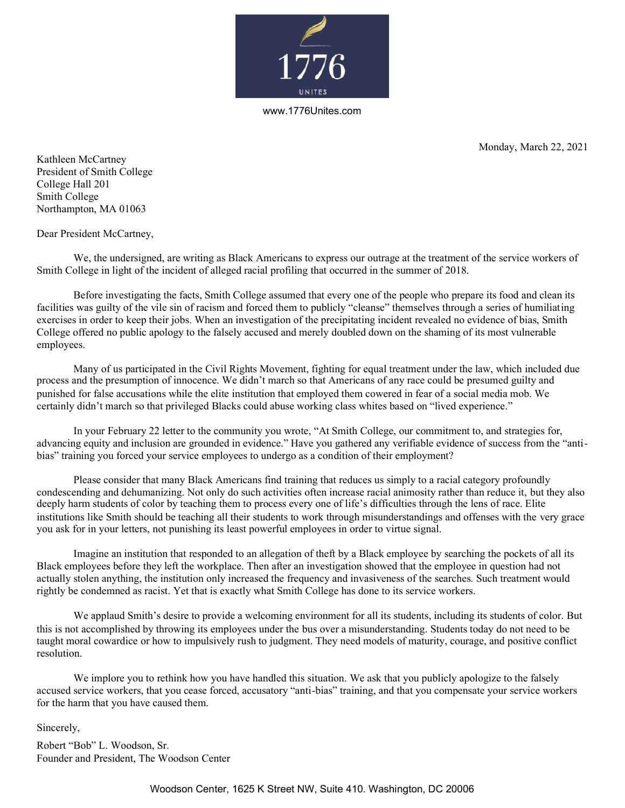

www.1776Unites.com

Monday, March 22, 2021

Kathleen McCartney President of Smith College College Hall 201 Smith College Northampton, MA 01063

Dear President McCartney,

We, the undersigned, are writing as Black Americans to express our outrage at the treatment of the service workers of Smith College in light of the incident of alleged racial profiling that occurred in the summer of 2018.

Before investigating the facts, Smith College assumed that every one of the people who prepare its food and clean its facilities was guilty of the vile sin of racism and forced them to publicly "cleanse" themselves through a series of humiliating exercises in order to keep their jobs. When an investigation of the precipitating incident revealed no evidence of bias, Smith College offered no public apology to the falsely accused and merely doubled down on the shaming of its most vulnerable employees.

Many of us participated in the Civil Rights Movement, fighting for equal treatment under the law, which included due process and the presumption of innocence. We didn't march so that Americans of any race could be presumed guilty and punished for false accusations while the elite institution that employed them cowered in fear of a social media mob. We certainly didn't march so that privileged Blacks could abuse working class whites based on "lived experience."

In your February 22 letter to the community you wrote, "At Smith College, our commitment to, and strategies for, advancing equity and inclusion are grounded in evidence." Have you gathered any verifiable evidence of success from the "antibias" training you forced your service employees to undergo as a condition of their employment?

Please consider that many Black Americans find training that reduces us simply to a racial category profoundly condescending and dehumanizing. Not only do such activities often increase racial animosity rather than reduce it, but they also deeply harm students of color by teaching them to process every one of life's difficulties through the lens of race. Elite institutions like Smith should be teaching all their students to work through misunderstandings and offenses with the very grace you ask for in your letters, not punishing its least powerful employees in order to virtue signal.

Imagine an institution that responded to an allegation of theft by a Black employee by searching the pockets of all its Black employees before they left the workplace. Then after an investigation showed that the employee in question had not actually stolen anything, the institution only increased the frequency and invasiveness of the searches. Such treatment would rightly be condemned as racist. Yet that is exactly what Smith College has done to its service workers.

We applaud Smith's desire to provide a welcoming environment for all its students, including its students of color. But this is not accomplished by throwing its employees under the bus over a misunderstanding. Students today do not need to be taught moral cowardice or how to impulsively rush to judgment. They need models of maturity, courage, and positive conflict resolution.

We implore you to rethink how you have handled this situation. We ask that you publicly apologize to the falsely accused service workers, that you cease forced, accusatory "anti-bias" training, and that you compensate your service workers for the harm that you have caused them.

Sincerely,

Robert "Bob" L. Woodson, Sr. Founder and President, The Woodson Center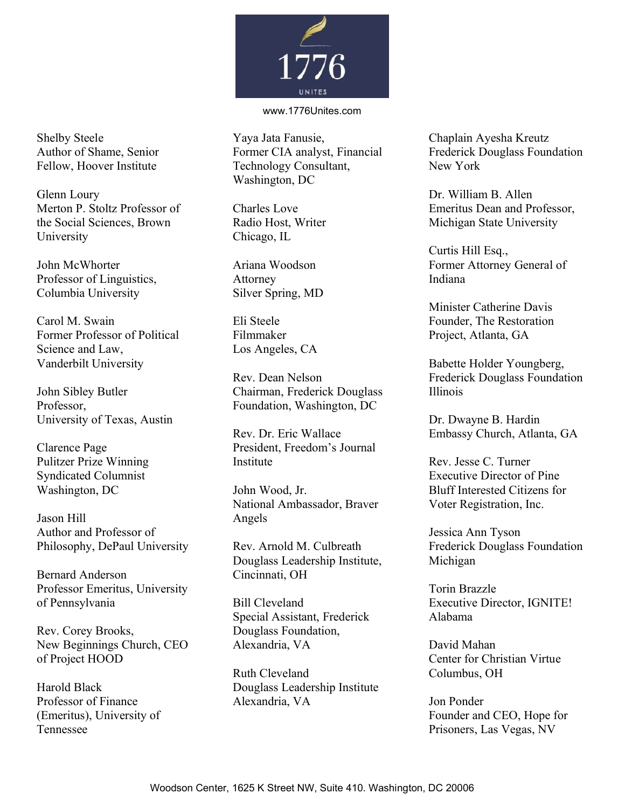

## www.1776Unites.com

Shelby Steele Yaya Jata Fanusie, Chaplain Ayesha Kreutz Former CIA analyst, Financial Technology Consultant, Washington, DC

Chicago, IL

Attorney Silver Spring, MD

Filmmaker Los Angeles, CA

Rev. Dean Nelson John Sibley Butler Chairman, Frederick Douglass Professor, Foundation, Washington, DC

> Rev. Dr. Eric Wallace President, Freedom's Journal Institute

National Ambassador, Braver

Rev. Arnold M. Culbreath Douglass Leadership Institute, Cincinnati, OH

Special Assistant, Frederick Alabama Douglass Foundation, Alexandria, VA

Ruth Cleveland Columbus, OH Harold Black Douglass Leadership Institute Alexandria, VA Jon Ponder

Frederick Douglass Foundation New York

Charles Love Emeritus Dean and Professor, Radio Host, Writer Michigan State University

Curtis Hill Esq., John McWhorter Ariana Woodson Former Attorney General of

Minister Catherine Davis

Frederick Douglass Foundation Illinois

Embassy Church, Atlanta, GA

Rev. Jesse C. Turner Executive Director of Pine Bluff Interested Citizens for Voter Registration, Inc.

Jessica Ann Tyson Frederick Douglass Foundation Michigan

Torin Brazzle Bill Cleveland Executive Director, IGNITE!

> David Mahan Center for Christian Virtue

Founder and CEO, Hope for Prisoners, Las Vegas, NV

Author of Shame, Senior Fellow, Hoover Institute

Glenn Loury Dr. William B. Allen Merton P. Stoltz Professor of the Social Sciences, Brown University

Professor of Linguistics,  $\qquad \qquad$  Attorney  $\qquad \qquad$  Indiana Columbia University

Carol M. Swain **Eli** Steele **Founder**, The Restoration Former Professor of Political Filmmaker Project, Atlanta, GA Science and Law, Vanderbilt University Babette Holder Youngberg,

University of Texas, Austin Dr. Dwayne B. Hardin

Clarence Page Pulitzer Prize Winning Syndicated Columnist Washington, DC John Wood, Jr.

Jason Hill Angels Author and Professor of Philosophy, DePaul University

Bernard Anderson Professor Emeritus, University of Pennsylvania

Rev. Corey Brooks, New Beginnings Church, CEO of Project HOOD

Professor of Finance (Emeritus), University of Tennessee